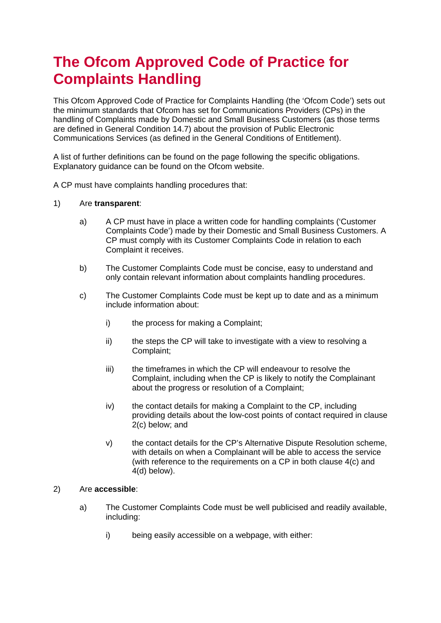# **The Ofcom Approved Code of Practice for Complaints Handling**

This Ofcom Approved Code of Practice for Complaints Handling (the 'Ofcom Code') sets out the minimum standards that Ofcom has set for Communications Providers (CPs) in the handling of Complaints made by Domestic and Small Business Customers (as those terms are defined in General Condition 14.7) about the provision of Public Electronic Communications Services (as defined in the General Conditions of Entitlement).

A list of further definitions can be found on the page following the specific obligations. Explanatory guidance can be found on the Ofcom website.

A CP must have complaints handling procedures that:

- 1) Are **transparent**:
	- a) A CP must have in place a written code for handling complaints ('Customer Complaints Code') made by their Domestic and Small Business Customers. A CP must comply with its Customer Complaints Code in relation to each Complaint it receives.
	- b) The Customer Complaints Code must be concise, easy to understand and only contain relevant information about complaints handling procedures.
	- c) The Customer Complaints Code must be kept up to date and as a minimum include information about:
		- i) the process for making a Complaint;
		- ii) the steps the CP will take to investigate with a view to resolving a Complaint;
		- iii) the timeframes in which the CP will endeavour to resolve the Complaint, including when the CP is likely to notify the Complainant about the progress or resolution of a Complaint;
		- iv) the contact details for making a Complaint to the CP, including providing details about the low-cost points of contact required in clause 2(c) below; and
		- v) the contact details for the CP's Alternative Dispute Resolution scheme, with details on when a Complainant will be able to access the service (with reference to the requirements on a CP in both clause 4(c) and 4(d) below).

### 2) Are **accessible**:

- a) The Customer Complaints Code must be well publicised and readily available, including:
	- i) being easily accessible on a webpage, with either: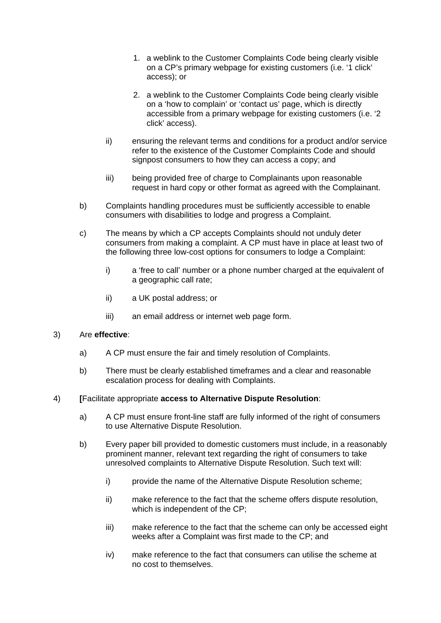- 1. a weblink to the Customer Complaints Code being clearly visible on a CP's primary webpage for existing customers (i.e. '1 click' access); or
- 2. a weblink to the Customer Complaints Code being clearly visible on a 'how to complain' or 'contact us' page, which is directly accessible from a primary webpage for existing customers (i.e. '2 click' access).
- ii) ensuring the relevant terms and conditions for a product and/or service refer to the existence of the Customer Complaints Code and should signpost consumers to how they can access a copy; and
- iii) being provided free of charge to Complainants upon reasonable request in hard copy or other format as agreed with the Complainant.
- b) Complaints handling procedures must be sufficiently accessible to enable consumers with disabilities to lodge and progress a Complaint.
- c) The means by which a CP accepts Complaints should not unduly deter consumers from making a complaint. A CP must have in place at least two of the following three low-cost options for consumers to lodge a Complaint:
	- i) a 'free to call' number or a phone number charged at the equivalent of a geographic call rate;
	- ii) a UK postal address; or
	- iii) an email address or internet web page form.

### 3) Are **effective**:

- a) A CP must ensure the fair and timely resolution of Complaints.
- b) There must be clearly established timeframes and a clear and reasonable escalation process for dealing with Complaints.

### 4) **[**Facilitate appropriate **access to Alternative Dispute Resolution**:

- a) A CP must ensure front-line staff are fully informed of the right of consumers to use Alternative Dispute Resolution.
- b) Every paper bill provided to domestic customers must include, in a reasonably prominent manner, relevant text regarding the right of consumers to take unresolved complaints to Alternative Dispute Resolution. Such text will:
	- i) provide the name of the Alternative Dispute Resolution scheme;
	- ii) make reference to the fact that the scheme offers dispute resolution, which is independent of the CP;
	- iii) make reference to the fact that the scheme can only be accessed eight weeks after a Complaint was first made to the CP; and
	- iv) make reference to the fact that consumers can utilise the scheme at no cost to themselves.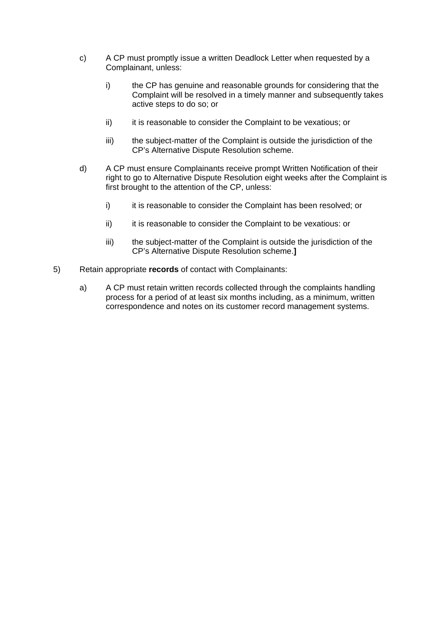- c) A CP must promptly issue a written Deadlock Letter when requested by a Complainant, unless:
	- i) the CP has genuine and reasonable grounds for considering that the Complaint will be resolved in a timely manner and subsequently takes active steps to do so; or
	- ii) it is reasonable to consider the Complaint to be vexatious; or
	- iii) the subject-matter of the Complaint is outside the jurisdiction of the CP's Alternative Dispute Resolution scheme.
- d) A CP must ensure Complainants receive prompt Written Notification of their right to go to Alternative Dispute Resolution eight weeks after the Complaint is first brought to the attention of the CP, unless:
	- i) it is reasonable to consider the Complaint has been resolved; or
	- ii) it is reasonable to consider the Complaint to be vexatious: or
	- iii) the subject-matter of the Complaint is outside the jurisdiction of the CP's Alternative Dispute Resolution scheme.**]**
- 5) Retain appropriate **records** of contact with Complainants:
	- a) A CP must retain written records collected through the complaints handling process for a period of at least six months including, as a minimum, written correspondence and notes on its customer record management systems.